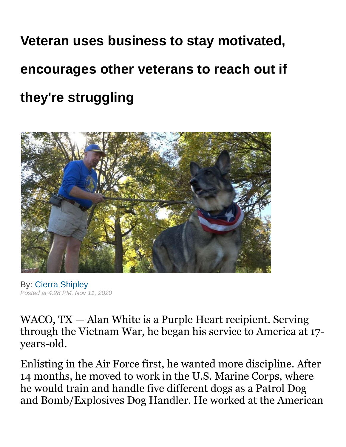## **Veteran uses business to stay motivated, encourages other veterans to reach out if they're struggling**



By: [Cierra Shipley](https://www.kxxv.com/cierra-shipley) *Posted at 4:28 PM, Nov 11, 2020*

WACO, TX — Alan White is a Purple Heart recipient. Serving through the Vietnam War, he began his service to America at 17 years-old.

Enlisting in the Air Force first, he wanted more discipline. After 14 months, he moved to work in the U.S. Marine Corps, where he would train and handle five different dogs as a Patrol Dog and Bomb/Explosives Dog Handler. He worked at the American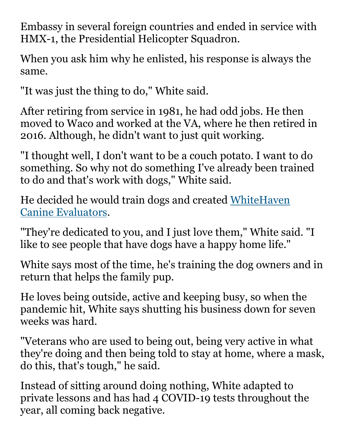Embassy in several foreign countries and ended in service with HMX-1, the Presidential Helicopter Squadron.

When you ask him why he enlisted, his response is always the same.

"It was just the thing to do," White said.

After retiring from service in 1981, he had odd jobs. He then moved to Waco and worked at the VA, where he then retired in 2016. Although, he didn't want to just quit working.

"I thought well, I don't want to be a couch potato. I want to do something. So why not do something I've already been trained to do and that's work with dogs," White said.

He decided he would train dogs and created [WhiteHaven](https://whitehavencanine.org/)  [Canine Evaluators.](https://whitehavencanine.org/)

"They're dedicated to you, and I just love them," White said. "I like to see people that have dogs have a happy home life."

White says most of the time, he's training the dog owners and in return that helps the family pup.

He loves being outside, active and keeping busy, so when the pandemic hit, White says shutting his business down for seven weeks was hard.

"Veterans who are used to being out, being very active in what they're doing and then being told to stay at home, where a mask, do this, that's tough," he said.

Instead of sitting around doing nothing, White adapted to private lessons and has had 4 COVID-19 tests throughout the year, all coming back negative.